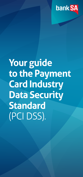

# **Your guide to the Payment Card Industry Data Security Standard** (PCI DSS).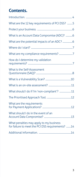# **Contents.**

| What are the 12 key requirements of PCI DSS? 5                                              |  |
|---------------------------------------------------------------------------------------------|--|
|                                                                                             |  |
| What is an Account Data Compromise (ADC)? 6                                                 |  |
|                                                                                             |  |
|                                                                                             |  |
|                                                                                             |  |
| How do I determine my validation                                                            |  |
| What is the Self-Assessment                                                                 |  |
|                                                                                             |  |
|                                                                                             |  |
| What should I do if I'm 'non-compliant'?  11                                                |  |
|                                                                                             |  |
| What are the requirements                                                                   |  |
| What should I do in the event of an                                                         |  |
| What penalties may apply to my business<br>for failure to meet the PCI DSS requirements? 14 |  |
|                                                                                             |  |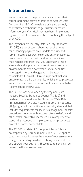### <span id="page-3-0"></span>**Introduction.**

We're committed to helping merchants protect their business from the growing threat of an Account Data Compromise (ADC). Criminals are using increasingly sophisticated techniques to get customer account information, so it's critical that merchants implement rigorous controls to minimise the risk of being the subject of an ADC.

The Payment Card Industry Data Security Standards (PCI DSS) is a set of comprehensive requirements for enhancing payment account data security and forms industry best practice for any entity that stores, processes and/or transmits cardholder data. As a merchant it's important that you understand these standards and implement controls to your business environment to avoid potential financial penalties, investigative costs and negative media attention associated with an ADC. It's also important that you ensure that any third party entity which stores, processes and/or transmits cardholder account data on your behalf is compliant to the PCI DSS.

The PCI DSS was developed by the Payment Card Industry Security Standards Council (PCI SSC) and has been formalised into the Mastercard® Site Data Protection (SDP) and Visa Account Information Security (AIS) programs. It's a multifaceted security standard that includes requirements for security management, policies, procedures, network architecture, software design and other critical protective measures. This comprehensive standard is intended to help organisations proactively protect customer account data.

The PCI DSS consists of 6 core principles which are accompanied by 12 requirements. The PCI DSS applies to all merchants, however the scope of your assessment changes depending on what solution you use and how you operate your business. These requirements can be viewed on the following page.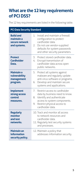#### <span id="page-4-0"></span>**What are the 12 key requirements of PCI DSS?**

The 12 key requirements are listed in the following table.

|                                                                  | <b>PCI Data Security Standard</b>                                                                                                                                                                             |  |  |
|------------------------------------------------------------------|---------------------------------------------------------------------------------------------------------------------------------------------------------------------------------------------------------------|--|--|
| <b>Build and</b><br>maintain a<br>secure network<br>and systems. | Install and maintain a firewall<br>1 <sup>1</sup><br>configuration to protect<br>cardholder data<br>Do not use vendor-supplied<br>2.<br>defaults for system passwords<br>and other security parameters.       |  |  |
| <b>Protect</b><br><b>Cardholder</b><br>Data.                     | Protect stored cardholder data<br>3.<br>Encrypt transmission of<br>4.<br>cardholder data across open<br>public networks.                                                                                      |  |  |
| <b>Maintain a</b><br>vulnerability<br>management<br>program.     | 5.<br>Protect all systems against<br>malware and regularly update<br>anti-virus software or programs.<br>Develop and maintain secure<br>6.<br>systems and applications.                                       |  |  |
| <b>Implement</b><br>strong access<br>control<br>measures.        | $\overline{7}$<br>Restrict access to cardholder<br>data by business need to know.<br>8.<br>Identify and authenticate<br>access to system components.<br>Restrict physical access to<br>9.<br>cardholder data. |  |  |
| <b>Regularly</b><br>monitor<br>and test<br>networks.             | 10. Track and monitor all access<br>to network resources and<br>cardholder data.<br>11. Regularly test security systems<br>and processes.                                                                     |  |  |
| <b>Maintain an</b><br>information<br>security policy.            | 12. Maintain a policy that<br>addresses information security.                                                                                                                                                 |  |  |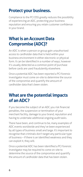## <span id="page-5-0"></span>**Protect your business.**

Compliance to the PCI DSS greatly reduces the possibility of experiencing an ADC, protecting your business reputation and ensuring you retain customer confidence in your brand.

## **What is an Account Data Compromise (ADC)?**

An ADC is when a person or group gain unauthorised access to cardholder data that is held within your business environment in either electronic or physical form. It can be identified in a number of ways, however it's usually detected as a common point of purchase before cards are used fraudulently elsewhere.

Once a potential ADC has been reported a PCI forensic investigator must come on-site to determine the source of the compromise and quantify the amount of cardholder data that's been stolen.

#### **What are the potential impacts of an ADC?**

If you become the subject of an ADC you risk financial penalties, the suspension or termination of your merchant facility, damage to your brand, reputation and having to undertake additional ongoing audit tasks.

There have been, and continue to be, many examples of ADC events worldwide and they've been experienced by all types of business small and large. It's important to recognise that criminals don't target any particular type of business – if there is an identified weakness and they can exploit it, they will.

Once a potential ADC has been identified a PCI forensic investigator may be required to come on-site to determine the source of the compromise and quantify the amount of cardholder data that has been stolen.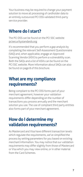<span id="page-6-0"></span>Your business may be required to change your payment solution to move all processing of cardholder data to an entirely outsourced PCI DSS validated third-party service provider.

#### **Where do I start?**

The PCI DSS can be found on the PCI SSC website [pcisecuritystandards.org](https://www.pcisecuritystandards.org/)

It's recommended that you perform a gap analysis by completing the relevant Self-Assessment Questionnaire (SAQ) and, when applicable, engage an Approved Scanning Vendor (ASV) to perform a vulnerability scan. Both the SAQs and a list of ASVs can be found on the PCI SSC website. More information about SAQs can also be found on page 8 of this brochure.

#### **What are my compliance requirements?**

Being compliant to the PCI DSS forms part of your merchant agreement, however your validation requirements differ depending on the number of transactions you process annually and the merchant solution you use. The use of compliant third party entities also forms part of your merchant agreement.

## **How do I determine my validation requirements?**

As Mastercard and Visa have different transaction levels which regulate the requirements, we've simplified the process by setting parameters for you based on existing merchant information. You may notice that our validation requirements may differ slightly from those of Mastercard or Visa which you may view online, or in other material from the Card Schemes.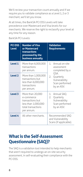<span id="page-7-0"></span>We'll review your transaction count annually and if we require you to validate compliance as a Level 1, 2 or 3 merchant, we'll let you know.

At all times, the BankSA PCI DSS Levels will take precedence over Mastercard and Visa levels for our merchants. We reserve the right to reclassify your level at any time for any reason.

BankSA PCI Levels:

| <b>PCI DSS</b><br><b>Level</b> | <b>Number of Visa</b><br>or Mastercard<br>transactions<br>processed by the<br>business annually               | <b>Validation</b><br><b>Requirements</b>                                              |
|--------------------------------|---------------------------------------------------------------------------------------------------------------|---------------------------------------------------------------------------------------|
| Level 1                        | More than 6,000,000<br>transactions<br>per annum.                                                             | 1. Annual on-site<br>assessment<br>completed by a                                     |
| Level <sub>2</sub>             | More than 1,000,000<br>transactions but<br>less than 6,000,000<br>transactions<br>per annum.                  | OSA.<br>2.<br>Quarterly<br>Vulnerability<br>Scan performed<br>by an ASV.              |
| Level 3                        | More than 20,000<br>e-commerce<br>transactions but<br>less than 1,000,000<br>total transactions<br>per annum. | Annual SAO.<br>1.<br>2.<br>Quarterly<br>Vulnerability<br>Scan performed<br>by an ASV. |
| Level 4                        | All other merchants.                                                                                          | Recommended SAO<br>and Vulnerability<br>Scans (if applicable).                        |

## **What is the Self-Assessment Questionnaire (SAQ)?**

The SAQ is a validation tool intended to help merchants that aren't required to undergo an on-site security assessment, in self-evaluating their compliance with the PCI DSS.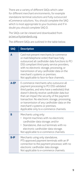There are a variety of different SAQs which cater for different merchant environments, for example standalone terminal solutions and fully outsourced eCommerce solutions. You should complete the SAQ which is most appropriate to your business and if in doubt you should complete SAQ D.

The SAQs can be viewed and downloaded from [pcisecuritystandards.org](http://www.pcisecuritystandards.org).

The different SAQs are outlined in the table below.

| <b>SAQ</b>  | <b>Description</b>                                                                                                                                                                                                                                                                                                                                                                                                  |
|-------------|---------------------------------------------------------------------------------------------------------------------------------------------------------------------------------------------------------------------------------------------------------------------------------------------------------------------------------------------------------------------------------------------------------------------|
| A           | Card-not-present merchants (e-commerce<br>or mail/telephone order) that have fully<br>outsourced all cardholder data functions to PCI<br>DSS compliant third-party service providers,<br>with no electronic storage, processing, or<br>transmission of any cardholder data on the<br>merchant's systems or premises.<br>Not applicable to face-to-face channels.                                                    |
| A-EP        | E-commerce merchants who outsource all<br>payment processing to PCI DSS validated<br>third parties, and who have a website(s) that<br>doesn't directly receive cardholder data but<br>that can impact the security of the payment<br>transaction. No electronic storage, processing,<br>or transmission of any cardholder data on the<br>merchant's systems or premises.<br>Applicable only to e-commerce channels. |
| B           | Merchants using only:<br>Imprint machines with no electronic<br>cardholder data storage; and/or<br>• Standalone, dial-out terminals with no<br>electronic cardholder data storage.<br>Not applicable to e-commerce channels.                                                                                                                                                                                        |
| <b>B-IP</b> | Merchants using only standalone,<br>PTS-approved payment terminals with an IP<br>connection to the payment processor, with no<br>electronic cardholder data storage.<br>Not applicable to e-commerce channels.                                                                                                                                                                                                      |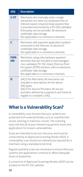<span id="page-9-0"></span>

| <b>SAQ</b>                      | <b>Description</b>                                                                                                                                                                                                                                                                                           |
|---------------------------------|--------------------------------------------------------------------------------------------------------------------------------------------------------------------------------------------------------------------------------------------------------------------------------------------------------------|
| $C-VT$                          | Merchants who manually enter a single<br>transaction at a time via a keyboard into an<br>Internet-based virtual terminal solution that<br>is provided and hosted by a PCI DSS validated<br>third-party service provider. No electronic<br>cardholder data storage.<br>Not applicable to e-commerce channels. |
| r                               | Merchants with payment application systems<br>connected to the Internet, no electronic<br>cardholder data storage.<br>Not applicable to e-commerce channels.                                                                                                                                                 |
| P <sub>2</sub> PF-<br><b>HW</b> | Merchants using only hardware payment<br>terminals that are included in and managed<br>via a validated, PCI SSC-listed, Point-to-Point<br>Encryption (P2PE) solution, with no electronic<br>cardholder data storage.<br>Not applicable to e-commerce channels.                                               |
| n                               | SAQ D for Merchants: All merchants not<br>included in descriptions for the above<br>SAQ types.<br>SAQ D for Service Providers: All service<br>providers defined by a payment card brand as<br>eligible to complete a SAQ.                                                                                    |

# **What is a Vulnerability Scan?**

A vulnerability scan ensures that your systems are protected from external threats such as unauthorised access, hacking or malicious viruses. The scanning tools will test all of your network equipment, hosts and applications for known vulnerabilities.

Scans are intended to be non-intrusive, and must be conducted by an Approved Scanning Vendor (ASV). A vulnerability scan would not ordinarily be required for a merchant using a standalone terminal.

Regular quarterly scans are necessary to ensure that your systems and applications continue to afford adequate levels of protection.

A current list of Approved Scanning Vendors (ASV) can be located on the PCI SSC website.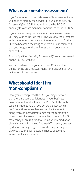#### <span id="page-10-0"></span>**What is an on-site assessment?**

If you're required to complete an on-site assessment you will need to employ the services of a Qualified Security Assessor (QSA). A QSA is accredited by the PCI SSC annually to validate merchant compliance to the PCI DSS.

If your business requires an annual on-site assessment you may wish to include the PCI DSS review requirements within your normal annual audit to reduce costs. As this is likely to become a recurring cost, we would recommend that you budget for the review as part of your annual expenditure.

A list of Qualified Security Assessors (QSA) can be viewed on the PCI SSC website.

You must advise us of your proposed QSA, and the timing for the on-site assessment, remediation plan and validation of compliance.

#### **What should I do if I'm 'non-compliant'?**

Once you've completed the SAQ you may discover that there are some deficiencies in your business environment that don't meet the PCI DSS. If this is the case it is imperative that you develop a plan which outlines actions for each non-compliant element along with estimated timeframes for the completion of each task. If you're a 'non-compliant' Level 1, 2 or 3 merchant you are required to submit your remediation plan within the Prioritised Approach Tool every quarter. By demonstrating progress towards compliance you give yourself the best possible chance of avoiding 'non-compliance' penalties.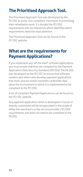# <span id="page-11-0"></span>**The Prioritised Approach Tool.**

The Prioritised Approach Tool was developed by the PCI SSC to assist 'non-compliant' merchants in prioritising their remediation work. It's divided the PCI DSS requirements into six milestones which identifies which requirements need the most attention.

The Prioritised Approach Tool can be found on the PCI SSC website.

## **What are the requirements for Payment Applications?**

If you implement any 'off the shelf' software applications you must ensure that they are compliant to the Payment Application Data Security Standards (PA DSS). The PA DSS was developed by the PCI SSC to ensure that software vendors and others who develop payment applications that store, process and/or transmits cardholder data allow the environment in which it is implemented to be compliant to the PCI DSS.

A list of compliant Payment Applications can be found on the PCI SSC website.

Any payment application which is developed in house or heavily customised will be encapsulated in the scope of either the merchant's or the service provider's PCI DSS requirements and does not need to be compliant to the PA DSS.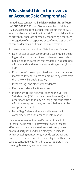## <span id="page-12-0"></span>**What should I do in the event of an Account Data Compromise?**

Immediately contact the **BankSA Merchant Fraud Team** on **1300 301 217** (Option 3) or our Merchant Risk Team ([PCIBSA@banksa.com.au\)](mailto:PCIBSA%40banksa.com.au?subject=) that you suspect that an ADC event has happened. Within the first 24 hours take action to prevent further loss of data by conducting a thorough investigation of the suspected or confirmed loss or theft of cardholder data and transaction information.

To preserve evidence and facilitate the investigation:

- Don't access or alter compromised systems (i.e. do not log on at all to the machine and change passwords, do not log on to the account that by default has access to all commands and files on an operating system, known as ROOT);
- Don't turn off the compromised associated hardware machines. Instead, isolate compromised systems from the network (i.e. unplug cable);
- Preserve logs and electronic evidence;
- Keep a record of all actions taken;
- If using a wireless network, change the Service Set Identifier (SSD) on the Access Point (AP) and other machines that may be using this connection with the exception of any systems believed to be compromised; and
- Be on "high" alert and monitor all systems with cardholder data and transaction information.

It's a requirement of the Card Schemes that a PCI Forensic Investigator (PFI) investigate any breaches affecting our merchants. We'll request that you, and any third party involved in helping your business with processing transactions, provide assistance and access to us for the term of the investigation. There are serious consequences for failing to co-operate in the investigation of any security breaches.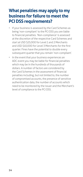#### <span id="page-13-0"></span>**What penalties may apply to my business for failure to meet the PCI DSS requirements?**

- If your business is assessed by the Card Schemes as being 'non-compliant' to the PCI DSS you are liable to financial penalties. 'Non-compliance' is assessed at the discretion of the respective Card Schemes and start at USD \$25,000 for Level 1 and 2 Merchants and USD \$10,000 for Level 3 Merchants for the first quarter. Fines have the potential to double every subsequent quarter that you remain 'non-compliant'.
- In the event that your business experiences an ADC event you may be liable for financial penalties which may be in the hundreds of thousands of dollars. A number of factors are considered by the Card Schemes in the assessment of financial penalties including, but not limited to, the number of compromised accounts, the presence of sensitive authentication data, the number of accounts which need to be monitored by the issuer and the Merchant's level of compliance to the PCI DSS.